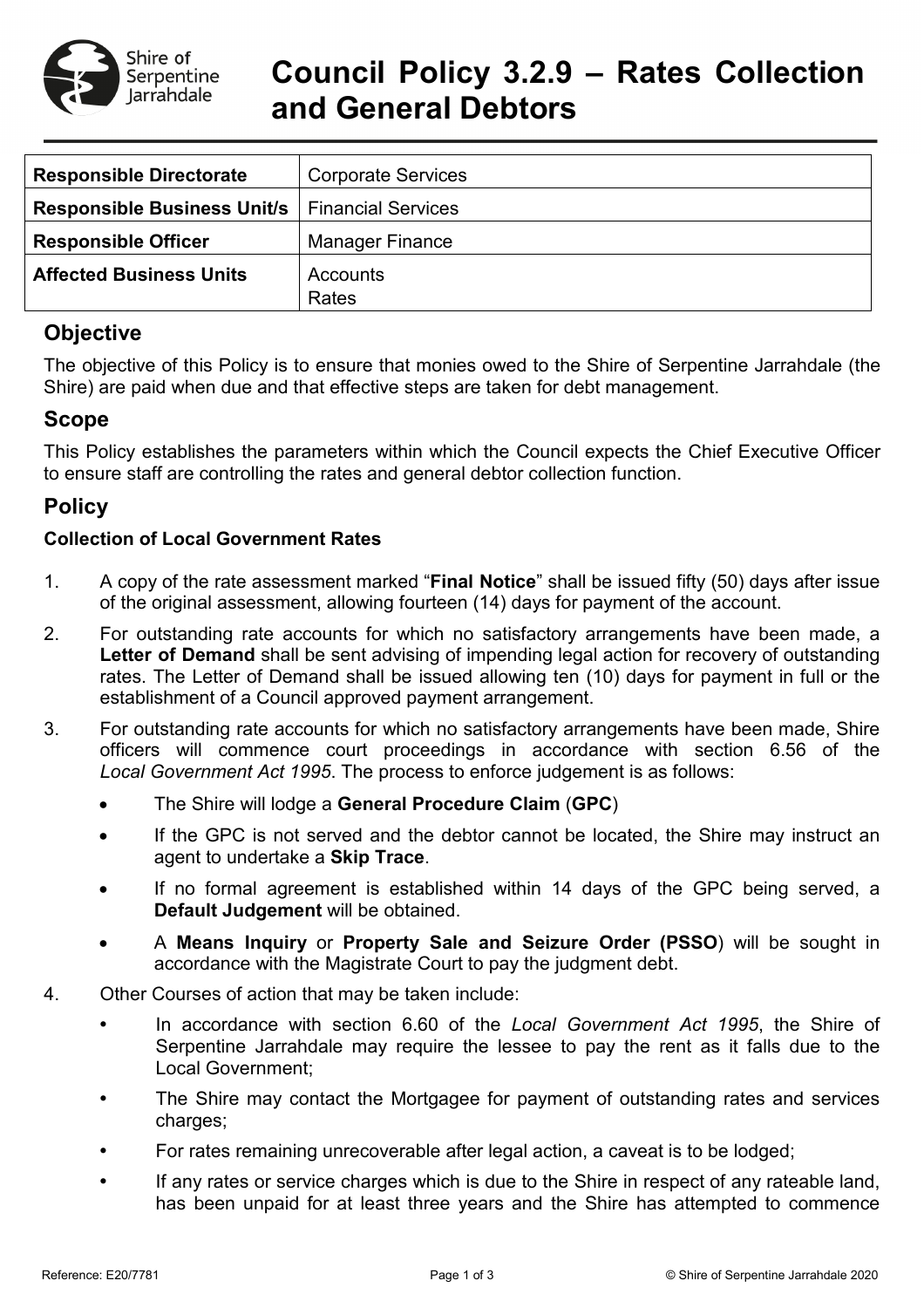

# **Council Policy 3.2.9 – Rates Collection and General Debtors**

| <b>Responsible Directorate</b>     | <b>Corporate Services</b> |
|------------------------------------|---------------------------|
| <b>Responsible Business Unit/s</b> | <b>Financial Services</b> |
| <b>Responsible Officer</b>         | <b>Manager Finance</b>    |
| <b>Affected Business Units</b>     | Accounts                  |
|                                    | Rates                     |

# **Objective**

The objective of this Policy is to ensure that monies owed to the Shire of Serpentine Jarrahdale (the Shire) are paid when due and that effective steps are taken for debt management.

# **Scope**

This Policy establishes the parameters within which the Council expects the Chief Executive Officer to ensure staff are controlling the rates and general debtor collection function.

# **Policy**

#### **Collection of Local Government Rates**

- 1. A copy of the rate assessment marked "**Final Notice**" shall be issued fifty (50) days after issue of the original assessment, allowing fourteen (14) days for payment of the account.
- 2. For outstanding rate accounts for which no satisfactory arrangements have been made, a **Letter of Demand** shall be sent advising of impending legal action for recovery of outstanding rates. The Letter of Demand shall be issued allowing ten (10) days for payment in full or the establishment of a Council approved payment arrangement.
- 3. For outstanding rate accounts for which no satisfactory arrangements have been made, Shire officers will commence court proceedings in accordance with section 6.56 of the *Local Government Act 1995*. The process to enforce judgement is as follows:
	- The Shire will lodge a **General Procedure Claim** (**GPC**)
	- If the GPC is not served and the debtor cannot be located, the Shire may instruct an agent to undertake a **Skip Trace**.
	- If no formal agreement is established within 14 days of the GPC being served, a **Default Judgement** will be obtained.
	- A **Means Inquiry** or **Property Sale and Seizure Order (PSSO**) will be sought in accordance with the Magistrate Court to pay the judgment debt.
- 4. Other Courses of action that may be taken include:
	- In accordance with section 6.60 of the *Local Government Act 1995*, the Shire of Serpentine Jarrahdale may require the lessee to pay the rent as it falls due to the Local Government;
	- The Shire may contact the Mortgagee for payment of outstanding rates and services charges;
	- For rates remaining unrecoverable after legal action, a caveat is to be lodged;
	- If any rates or service charges which is due to the Shire in respect of any rateable land, has been unpaid for at least three years and the Shire has attempted to commence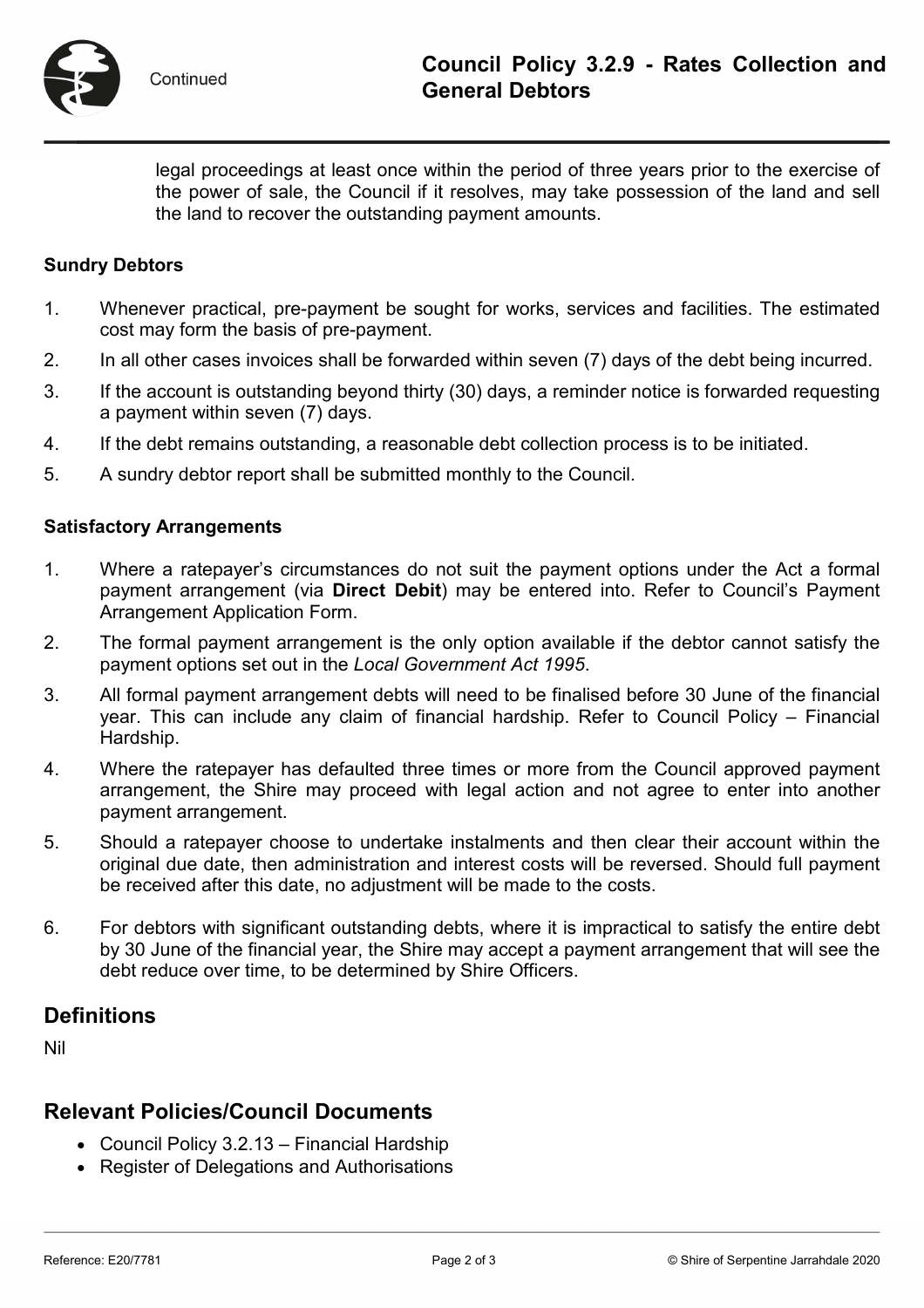

legal proceedings at least once within the period of three years prior to the exercise of the power of sale, the Council if it resolves, may take possession of the land and sell the land to recover the outstanding payment amounts.

#### **Sundry Debtors**

- 1. Whenever practical, pre-payment be sought for works, services and facilities. The estimated cost may form the basis of pre-payment.
- 2. In all other cases invoices shall be forwarded within seven (7) days of the debt being incurred.
- 3. If the account is outstanding beyond thirty (30) days, a reminder notice is forwarded requesting a payment within seven (7) days.
- 4. If the debt remains outstanding, a reasonable debt collection process is to be initiated.
- 5. A sundry debtor report shall be submitted monthly to the Council.

#### **Satisfactory Arrangements**

- 1. Where a ratepayer's circumstances do not suit the payment options under the Act a formal payment arrangement (via **Direct Debit**) may be entered into. Refer to Council's Payment Arrangement Application Form.
- 2. The formal payment arrangement is the only option available if the debtor cannot satisfy the payment options set out in the *Local Government Act 1995*.
- 3. All formal payment arrangement debts will need to be finalised before 30 June of the financial year. This can include any claim of financial hardship. Refer to Council Policy – Financial Hardship.
- 4. Where the ratepayer has defaulted three times or more from the Council approved payment arrangement, the Shire may proceed with legal action and not agree to enter into another payment arrangement.
- 5. Should a ratepayer choose to undertake instalments and then clear their account within the original due date, then administration and interest costs will be reversed. Should full payment be received after this date, no adjustment will be made to the costs.
- 6. For debtors with significant outstanding debts, where it is impractical to satisfy the entire debt by 30 June of the financial year, the Shire may accept a payment arrangement that will see the debt reduce over time, to be determined by Shire Officers.

## **Definitions**

Nil

### **Relevant Policies/Council Documents**

- Council Policy 3.2.13 Financial Hardship
- Register of Delegations and Authorisations